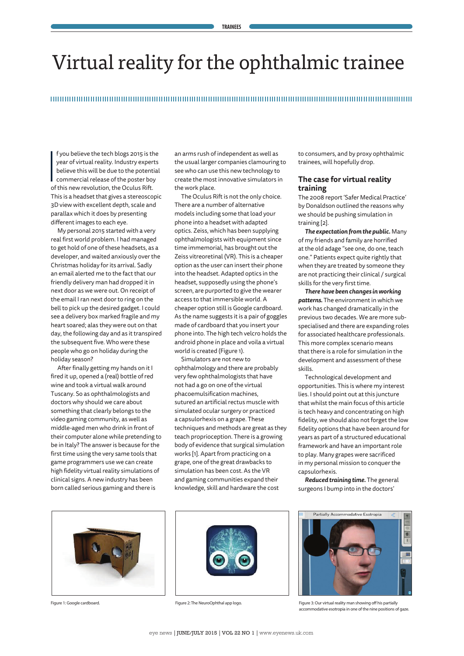# Virtual reality for the ophthalmic trainee

#### 

 $\overline{\phantom{a}}$ f you believe the tech blogs 2015 is the year of virtual reality. Industry experts believe this will be due to the potential commercial release of the poster boy of this new revolution, the Oculus Rift. This is a headset that gives a stereoscopic 3D view with excellent depth, scale and parallax which it does by presenting different images to each eye.

My personal 2015 started with a very real first world problem. I had managed to get hold of one of these headsets, as a developer, and waited anxiously over the Christmas holiday for its arrival. Sadly an email alerted me to the fact that our friendly delivery man had dropped it in next door as we were out. On receipt of the email I ran next door to ring on the bell to pick up the desired gadget. I could see a delivery box marked fragile and my heart soared; alas they were out on that day, the following day and as it transpired the subsequent five. Who were these people who go on holiday during the holiday season?

After finally getting my hands on it I fired it up, opened a (real) bottle of red wine and took a virtual walk around Tuscany. So as ophthalmologists and doctors why should we care about something that clearly belongs to the video gaming community, as well as middle-aged men who drink in front of their computer alone while pretending to be in Italy? The answer is because for the first time using the very same tools that game programmers use we can create high fidelity virtual reality simulations of clinical signs. A new industry has been born called serious gaming and there is

an arms rush of independent as well as the usual larger companies clamouring to see who can use this new technology to create the most innovative simulators in the work place.

The Oculus Rift is not the only choice. There are a number of alternative models including some that load your phone into a headset with adapted optics. Zeiss, which has been supplying ophthalmologists with equipment since time immemorial, has brought out the Zeiss vitreoretinal (VR). This is a cheaper option as the user can insert their phone into the headset. Adapted optics in the headset, supposedly using the phone's screen, are purported to give the wearer access to that immersible world. A cheaper option still is Google cardboard. As the name suggests it is a pair of goggles made of cardboard that you insert your phone into. The high tech velcro holds the android phone in place and voila a virtual world is created (Figure 1).

Simulators are not new to ophthalmology and there are probably very few ophthalmologists that have not had a go on one of the virtual phacoemulsification machines, sutured an artificial rectus muscle with simulated ocular surgery or practiced a capsulorhexis on a grape. These techniques and methods are great as they teach proprioception. There is a growing body of evidence that surgical simulation works [1]. Apart from practicing on a grape, one of the great drawbacks to simulation has been cost. As the VR and gaming communities expand their knowledge, skill and hardware the cost

to consumers, and by proxy ophthalmic trainees, will hopefully drop.

#### **The case for virtual reality training**

The 2008 report 'Safer Medical Practice' by Donaldson outlined the reasons why we should be pushing simulation in training [2].

*The expectation from the public.* Many of my friends and family are horrified at the old adage "see one, do one, teach one." Patients expect quite rightly that when they are treated by someone they are not practicing their clinical / surgical skills for the very first time.

*There have been changes in working patterns.* The environment in which we work has changed dramatically in the previous two decades. We are more subspecialised and there are expanding roles for associated healthcare professionals. This more complex scenario means that there is a role for simulation in the development and assessment of these skills.

Technological development and opportunities. This is where my interest lies. I should point out at this juncture that whilst the main focus of this article is tech heavy and concentrating on high fidelity, we should also not forget the low fidelity options that have been around for years as part of a structured educational framework and have an important role to play. Many grapes were sacrificed in my personal mission to conquer the capsulorhexis.

*Reduced training time.* The general surgeons I bump into in the doctors'







Figure 1: Google cardboard. Figure 2: The NeuroOphthal app logo. Figure 3: Our virtual reality man showing off his partially accommodative esotropia in one of the nine positions of gaze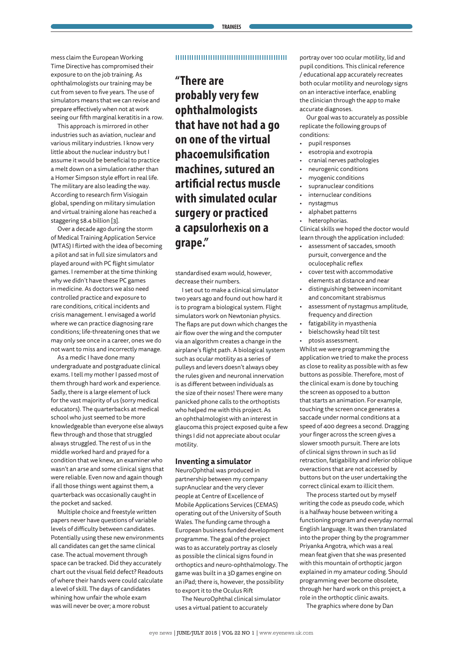mess claim the European Working Time Directive has compromised their exposure to on the job training. As ophthalmologists our training may be cut from seven to five years. The use of simulators means that we can revise and prepare effectively when not at work seeing our fifth marginal keratitis in a row.

This approach is mirrored in other industries such as aviation, nuclear and various military industries. I know very little about the nuclear industry but I assume it would be beneficial to practice a melt down on a simulation rather than a Homer Simpson style effort in real life. The military are also leading the way. According to research firm Visiogain global, spending on military simulation and virtual training alone has reached a staggering \$8.4 billion [3].

Over a decade ago during the storm of Medical Training Application Service (MTAS) I flirted with the idea of becoming a pilot and sat in full size simulators and played around with PC flight simulator games. I remember at the time thinking why we didn't have these PC games in medicine. As doctors we also need controlled practice and exposure to rare conditions, critical incidents and crisis management. I envisaged a world where we can practice diagnosing rare conditions; life-threatening ones that we may only see once in a career, ones we do not want to miss and incorrectly manage.

As a medic I have done many undergraduate and postgraduate clinical exams. I tell my mother I passed most of them through hard work and experience. Sadly, there is a large element of luck for the vast majority of us (sorry medical educators). The quarterbacks at medical school who just seemed to be more knowledgeable than everyone else always flew through and those that struggled always struggled. The rest of us in the middle worked hard and prayed for a condition that we knew, an examiner who wasn't an arse and some clinical signs that were reliable. Even now and again though if all those things went against them, a quarterback was occasionally caught in the pocket and sacked.

Multiple choice and freestyle written papers never have questions of variable levels of difficulty between candidates. Potentially using these new environments all candidates can get the same clinical case. The actual movement through space can be tracked. Did they accurately chart out the visual field defect? Readouts of where their hands were could calculate a level of skill. The days of candidates whining how unfair the whole exam was will never be over; a more robust

#### 

## **"There are probably very few ophthalmologists that have not had a go on one of the virtual phacoemulsification machines, sutured an artificial rectus muscle with simulated ocular surgery or practiced a capsulorhexis on a grape."**

standardised exam would, however, decrease their numbers.

I set out to make a clinical simulator two years ago and found out how hard it is to program a biological system. Flight simulators work on Newtonian physics. The flaps are put down which changes the air flow over the wing and the computer via an algorithm creates a change in the airplane's flight path. A biological system such as ocular motility as a series of pulleys and levers doesn't always obey the rules given and neuronal innervation is as different between individuals as the size of their noses! There were many panicked phone calls to the orthoptists who helped me with this project. As an ophthalmologist with an interest in glaucoma this project exposed quite a few things I did not appreciate about ocular motility.

#### **Inventing a simulator**

NeuroOphthal was produced in partnership between my company suprAnuclear and the very clever people at Centre of Excellence of Mobile Applications Services (CEMAS) operating out of the University of South Wales. The funding came through a European business funded development programme. The goal of the project was to as accurately portray as closely as possible the clinical signs found in orthoptics and neuro-ophthalmology. The game was built in a 3D games engine on an iPad; there is, however, the possibility to export it to the Oculus Rift

The NeuroOphthal clinical simulator uses a virtual patient to accurately

portray over 100 ocular motility, lid and pupil conditions. This clinical reference / educational app accurately recreates both ocular motility and neurology signs on an interactive interface, enabling the clinician through the app to make accurate diagnoses.

Our goal was to accurately as possible replicate the following groups of conditions:

- pupil responses
- esotropia and exotropia
- cranial nerves pathologies
- neurogenic conditions
- myogenic conditions
- supranuclear conditions
- internuclear conditions
- nystagmus
- alphabet patterns
- heterophorias.

Clinical skills we hoped the doctor would learn through the application included:

- assessment of saccades, smooth pursuit, convergence and the oculocephalic reflex
- cover test with accommodative elements at distance and near
- distinguishing between incomitant and concomitant strabismus
- assessment of nystagmus amplitude, frequency and direction
- fatigability in myasthenia
- bielschowsky head tilt test
- ptosis assessment.

Whilst we were programming the application we tried to make the process as close to reality as possible with as few buttons as possible. Therefore, most of the clinical exam is done by touching the screen as opposed to a button that starts an animation. For example, touching the screen once generates a saccade under normal conditions at a speed of 400 degrees a second. Dragging your finger across the screen gives a slower smooth pursuit. There are lots of clinical signs thrown in such as lid retraction, fatigability and inferior oblique overactions that are not accessed by buttons but on the user undertaking the correct clinical exam to illicit them.

The process started out by myself writing the code as pseudo code, which is a halfway house between writing a functioning program and everyday normal English language. It was then translated into the proper thing by the programmer Priyanka Angotra, which was a real mean feat given that she was presented with this mountain of orthoptic jargon explained in my amateur coding. Should programming ever become obsolete, through her hard work on this project, a role in the orthoptic clinic awaits.

The graphics where done by Dan